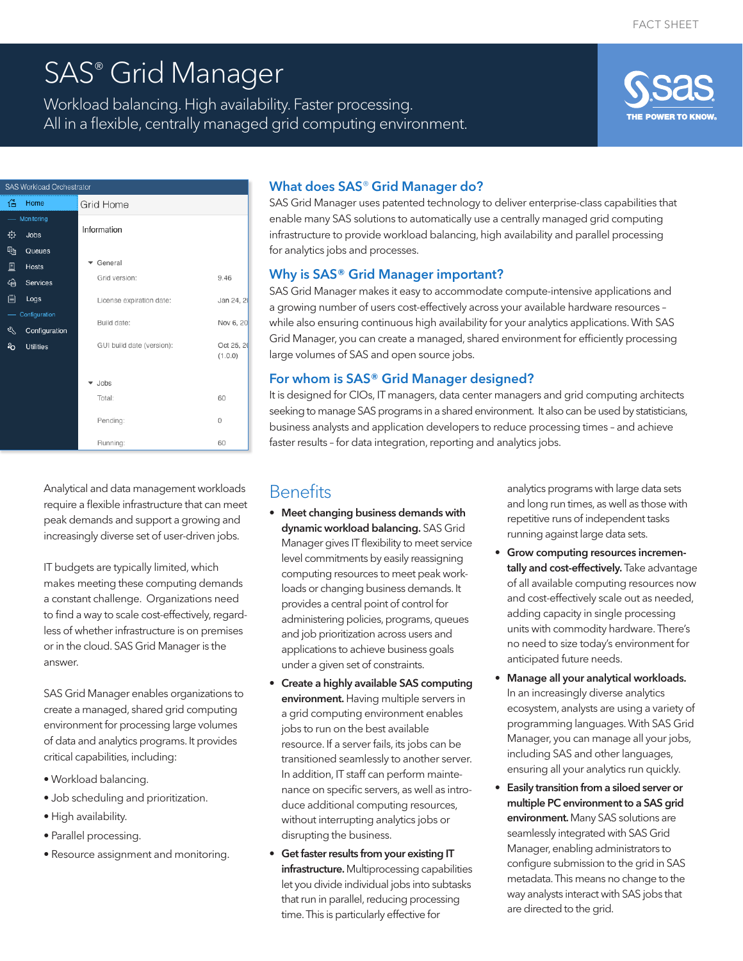# SAS® Grid Manager

Workload balancing. High availability. Faster processing. All in a flexible, centrally managed grid computing environment.



| SAS Workload Orchestrator |                  |                           |                       |
|---------------------------|------------------|---------------------------|-----------------------|
| 偣                         | Home             | Grid Home                 |                       |
| Monitoring                |                  |                           |                       |
| ۰                         | Jobs             | Information               |                       |
| দ্ধ                       | Queues           |                           |                       |
| 圓                         | Hosts            | General                   |                       |
| අ                         | Services         | Grid version:             | 9.46                  |
| 冒                         | Logs             | License expiration date:  | Jan 24, 20            |
| Configuration             |                  | Build date:               | Nov 6, 20             |
| ९                         | Configuration    |                           |                       |
| ÷o                        | <b>Utilities</b> | GUI build date (version): | Oct 25, 20<br>(1.0.0) |
|                           |                  |                           |                       |
|                           |                  | Jobs                      |                       |
|                           |                  | Total:                    | 60                    |
|                           |                  | Pending:                  | 0                     |
|                           |                  | Running:                  | 60                    |

Analytical and data management workloads require a flexible infrastructure that can meet peak demands and support a growing and increasingly diverse set of user-driven jobs.

IT budgets are typically limited, which makes meeting these computing demands a constant challenge. Organizations need to find a way to scale cost-effectively, regardless of whether infrastructure is on premises or in the cloud. SAS Grid Manager is the answer.

SAS Grid Manager enables organizations to create a managed, shared grid computing environment for processing large volumes of data and analytics programs. It provides critical capabilities, including:

- Workload balancing.
- Job scheduling and prioritization.
- High availability.
- Parallel processing.
- Resource assignment and monitoring.

#### What does SAS® Grid Manager do?

SAS Grid Manager uses patented technology to deliver enterprise-class capabilities that enable many SAS solutions to automatically use a centrally managed grid computing infrastructure to provide workload balancing, high availability and parallel processing for analytics jobs and processes.

#### Why is SAS® Grid Manager important?

SAS Grid Manager makes it easy to accommodate compute-intensive applications and a growing number of users cost-effectively across your available hardware resources – while also ensuring continuous high availability for your analytics applications. With SAS Grid Manager, you can create a managed, shared environment for efficiently processing large volumes of SAS and open source jobs.

#### For whom is SAS® Grid Manager designed?

It is designed for CIOs, IT managers, data center managers and grid computing architects seeking to manage SAS programs in a shared environment. It also can be used by statisticians, business analysts and application developers to reduce processing times – and achieve faster results – for data integration, reporting and analytics jobs.

## **Benefits**

- Meet changing business demands with dynamic workload balancing. SAS Grid Manager gives IT flexibility to meet service level commitments by easily reassigning computing resources to meet peak workloads or changing business demands. It provides a central point of control for administering policies, programs, queues and job prioritization across users and applications to achieve business goals under a given set of constraints.
- Create a highly available SAS computing environment. Having multiple servers in a grid computing environment enables jobs to run on the best available resource. If a server fails, its jobs can be transitioned seamlessly to another server. In addition, IT staff can perform maintenance on specific servers, as well as introduce additional computing resources, without interrupting analytics jobs or disrupting the business.
- Get faster results from your existing IT infrastructure. Multiprocessing capabilities let you divide individual jobs into subtasks that run in parallel, reducing processing time. This is particularly effective for

analytics programs with large data sets and long run times, as well as those with repetitive runs of independent tasks running against large data sets.

- Grow computing resources incrementally and cost-effectively. Take advantage of all available computing resources now and cost-effectively scale out as needed, adding capacity in single processing units with commodity hardware. There's no need to size today's environment for anticipated future needs.
- Manage all your analytical workloads. In an increasingly diverse analytics ecosystem, analysts are using a variety of programming languages. With SAS Grid Manager, you can manage all your jobs, including SAS and other languages, ensuring all your analytics run quickly.
- Easily transition from a siloed server or multiple PC environment to a SAS grid environment. Many SAS solutions are seamlessly integrated with SAS Grid Manager, enabling administrators to configure submission to the grid in SAS metadata. This means no change to the way analysts interact with SAS jobs that are directed to the grid.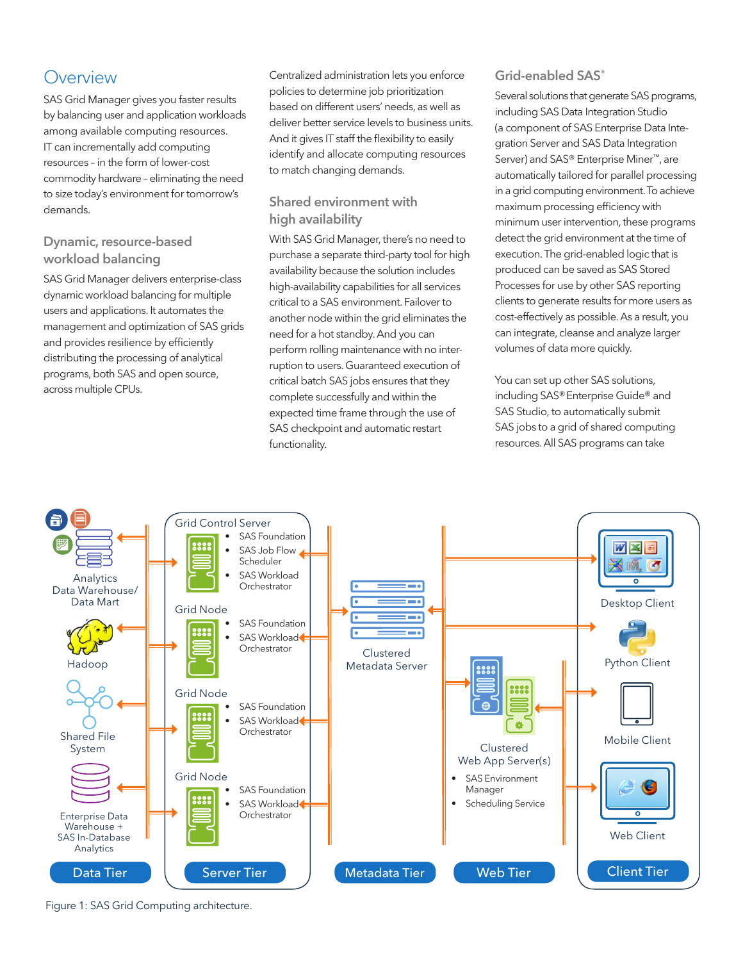# **Overview**

SAS Grid Manager gives you faster results by balancing user and application workloads among available computing resources. IT can incrementally add computing resources – in the form of lower-cost commodity hardware – eliminating the need to size today's environment for tomorrow's demands.

#### Dynamic, resource-based workload balancing

SAS Grid Manager delivers enterprise-class dynamic workload balancing for multiple users and applications. It automates the management and optimization of SAS grids and provides resilience by efficiently distributing the processing of analytical programs, both SAS and open source, across multiple CPUs.

Centralized administration lets you enforce policies to determine job prioritization based on different users' needs, as well as deliver better service levels to business units. And it gives IT staff the flexibility to easily identify and allocate computing resources to match changing demands.

### Shared environment with high availability

With SAS Grid Manager, there's no need to purchase a separate third-party tool for high availability because the solution includes high-availability capabilities for all services critical to a SAS environment. Failover to another node within the grid eliminates the need for a hot standby. And you can perform rolling maintenance with no interruption to users. Guaranteed execution of critical batch SAS jobs ensures that they complete successfully and within the expected time frame through the use of SAS checkpoint and automatic restart functionality.

#### Grid-enabled SAS<sup>®</sup>

Several solutions that generate SAS programs, including SAS Data Integration Studio (a component of SAS Enterprise Data Integration Server and SAS Data Integration Server) and SAS® Enterprise Miner™, are automatically tailored for parallel processing in a grid computing environment. To achieve maximum processing efficiency with minimum user intervention, these programs detect the grid environment at the time of execution. The grid-enabled logic that is produced can be saved as SAS Stored Processes for use by other SAS reporting clients to generate results for more users as cost-effectively as possible. As a result, you can integrate, cleanse and analyze larger volumes of data more quickly.

You can set up other SAS solutions, including SAS®Enterprise Guide® and SAS Studio, to automatically submit SAS jobs to a grid of shared computing resources. All SAS programs can take



Figure 1: SAS Grid Computing architecture.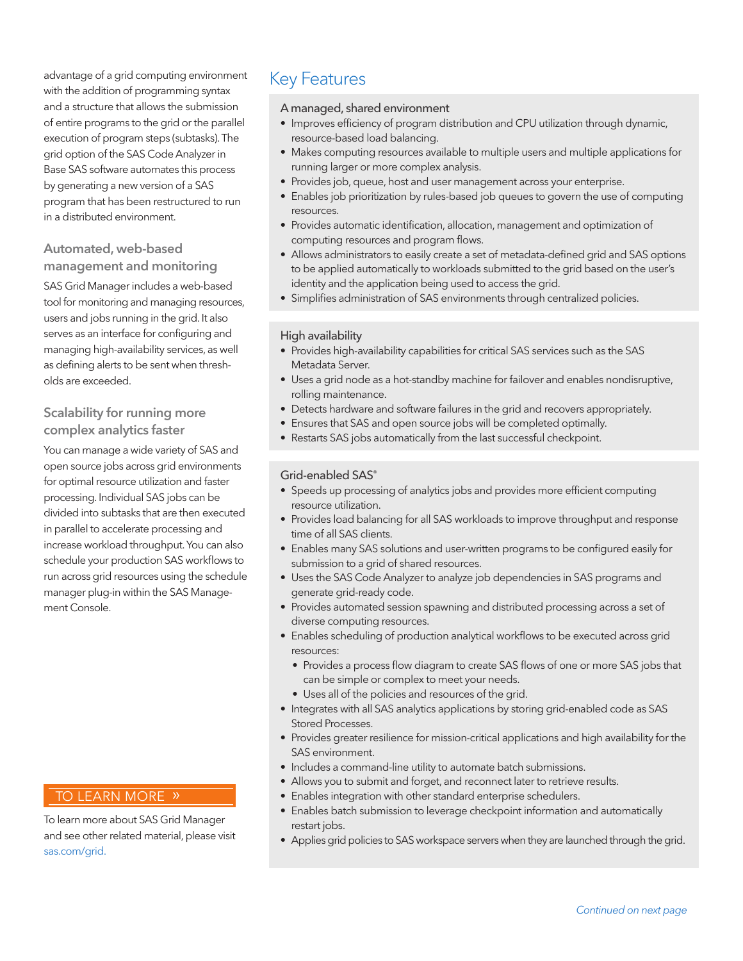advantage of a grid computing environment Key Features with the addition of programming syntax and a structure that allows the submission of entire programs to the grid or the parallel execution of program steps (subtasks). The grid option of the SAS Code Analyzer in Base SAS software automates this process by generating a new version of a SAS program that has been restructured to run in a distributed environment.

#### Automated, web-based management and monitoring

SAS Grid Manager includes a web-based tool for monitoring and managing resources, users and jobs running in the grid. It also serves as an interface for configuring and managing high-availability services, as well as defining alerts to be sent when thresholds are exceeded.

#### Scalability for running more complex analytics faster

You can manage a wide variety of SAS and open source jobs across grid environments for optimal resource utilization and faster processing. Individual SAS jobs can be divided into subtasks that are then executed in parallel to accelerate processing and increase workload throughput. You can also schedule your production SAS workflows to run across grid resources using the schedule manager plug-in within the SAS Management Console.

### TO LEARN MORE »

To learn more about SAS Grid Manager and see other related material, please visit [sas.com/g](https://www.sas.com/grid)rid.

#### A managed, shared environment

- Improves efficiency of program distribution and CPU utilization through dynamic, resource-based load balancing.
- Makes computing resources available to multiple users and multiple applications for running larger or more complex analysis.
- Provides job, queue, host and user management across your enterprise.
- Enables job prioritization by rules-based job queues to govern the use of computing resources.
- Provides automatic identification, allocation, management and optimization of computing resources and program flows.
- Allows administrators to easily create a set of metadata-defined grid and SAS options to be applied automatically to workloads submitted to the grid based on the user's identity and the application being used to access the grid.
- Simplifies administration of SAS environments through centralized policies.

#### High availability

- Provides high-availability capabilities for critical SAS services such as the SAS Metadata Server.
- Uses a grid node as a hot-standby machine for failover and enables nondisruptive, rolling maintenance.
- Detects hardware and software failures in the grid and recovers appropriately.
- Ensures that SAS and open source jobs will be completed optimally.
- Restarts SAS jobs automatically from the last successful checkpoint.

#### Grid-enabled SAS®

- Speeds up processing of analytics jobs and provides more efficient computing resource utilization.
- Provides load balancing for all SAS workloads to improve throughput and response time of all SAS clients.
- Enables many SAS solutions and user-written programs to be configured easily for submission to a grid of shared resources.
- Uses the SAS Code Analyzer to analyze job dependencies in SAS programs and generate grid-ready code.
- Provides automated session spawning and distributed processing across a set of diverse computing resources.
- Enables scheduling of production analytical workflows to be executed across grid resources:
	- Provides a process flow diagram to create SAS flows of one or more SAS jobs that can be simple or complex to meet your needs.
	- Uses all of the policies and resources of the grid.
- Integrates with all SAS analytics applications by storing grid-enabled code as SAS Stored Processes.
- Provides greater resilience for mission-critical applications and high availability for the SAS environment.
- Includes a command-line utility to automate batch submissions.
- Allows you to submit and forget, and reconnect later to retrieve results.
- Enables integration with other standard enterprise schedulers.
- Enables batch submission to leverage checkpoint information and automatically restart jobs.
- Applies grid policies to SAS workspace servers when they are launched through the grid.